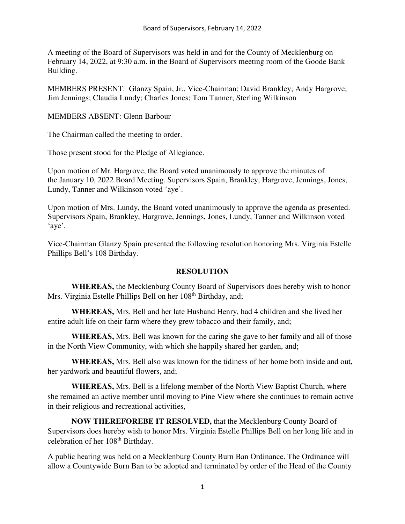A meeting of the Board of Supervisors was held in and for the County of Mecklenburg on February 14, 2022, at 9:30 a.m. in the Board of Supervisors meeting room of the Goode Bank Building.

MEMBERS PRESENT: Glanzy Spain, Jr., Vice-Chairman; David Brankley; Andy Hargrove; Jim Jennings; Claudia Lundy; Charles Jones; Tom Tanner; Sterling Wilkinson

MEMBERS ABSENT: Glenn Barbour

The Chairman called the meeting to order.

Those present stood for the Pledge of Allegiance.

Upon motion of Mr. Hargrove, the Board voted unanimously to approve the minutes of the January 10, 2022 Board Meeting. Supervisors Spain, Brankley, Hargrove, Jennings, Jones, Lundy, Tanner and Wilkinson voted 'aye'.

Upon motion of Mrs. Lundy, the Board voted unanimously to approve the agenda as presented. Supervisors Spain, Brankley, Hargrove, Jennings, Jones, Lundy, Tanner and Wilkinson voted 'aye'.

Vice-Chairman Glanzy Spain presented the following resolution honoring Mrs. Virginia Estelle Phillips Bell's 108 Birthday.

## **RESOLUTION**

**WHEREAS,** the Mecklenburg County Board of Supervisors does hereby wish to honor Mrs. Virginia Estelle Phillips Bell on her 108<sup>th</sup> Birthday, and;

**WHEREAS,** Mrs. Bell and her late Husband Henry, had 4 children and she lived her entire adult life on their farm where they grew tobacco and their family, and;

**WHEREAS,** Mrs. Bell was known for the caring she gave to her family and all of those in the North View Community, with which she happily shared her garden, and;

**WHEREAS,** Mrs. Bell also was known for the tidiness of her home both inside and out, her yardwork and beautiful flowers, and;

**WHEREAS,** Mrs. Bell is a lifelong member of the North View Baptist Church, where she remained an active member until moving to Pine View where she continues to remain active in their religious and recreational activities,

**NOW THEREFOREBE IT RESOLVED,** that the Mecklenburg County Board of Supervisors does hereby wish to honor Mrs. Virginia Estelle Phillips Bell on her long life and in celebration of her 108<sup>th</sup> Birthday.

A public hearing was held on a Mecklenburg County Burn Ban Ordinance. The Ordinance will allow a Countywide Burn Ban to be adopted and terminated by order of the Head of the County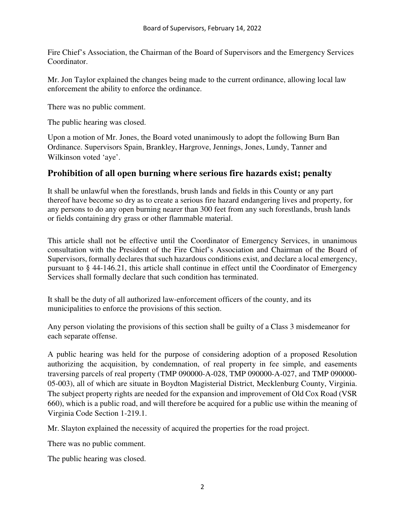Fire Chief's Association, the Chairman of the Board of Supervisors and the Emergency Services Coordinator.

Mr. Jon Taylor explained the changes being made to the current ordinance, allowing local law enforcement the ability to enforce the ordinance.

There was no public comment.

The public hearing was closed.

Upon a motion of Mr. Jones, the Board voted unanimously to adopt the following Burn Ban Ordinance. Supervisors Spain, Brankley, Hargrove, Jennings, Jones, Lundy, Tanner and Wilkinson voted 'aye'.

## **Prohibition of all open burning where serious fire hazards exist; penalty**

It shall be unlawful when the forestlands, brush lands and fields in this County or any part thereof have become so dry as to create a serious fire hazard endangering lives and property, for any persons to do any open burning nearer than 300 feet from any such forestlands, brush lands or fields containing dry grass or other flammable material.

This article shall not be effective until the Coordinator of Emergency Services, in unanimous consultation with the President of the Fire Chief's Association and Chairman of the Board of Supervisors, formally declares that such hazardous conditions exist, and declare a local emergency, pursuant to § 44-146.21, this article shall continue in effect until the Coordinator of Emergency Services shall formally declare that such condition has terminated.

It shall be the duty of all authorized law-enforcement officers of the county, and its municipalities to enforce the provisions of this section.

Any person violating the provisions of this section shall be guilty of a Class 3 misdemeanor for each separate offense.

A public hearing was held for the purpose of considering adoption of a proposed Resolution authorizing the acquisition, by condemnation, of real property in fee simple, and easements traversing parcels of real property (TMP 090000-A-028, TMP 090000-A-027, and TMP 090000- 05-003), all of which are situate in Boydton Magisterial District, Mecklenburg County, Virginia. The subject property rights are needed for the expansion and improvement of Old Cox Road (VSR 660), which is a public road, and will therefore be acquired for a public use within the meaning of Virginia Code Section 1-219.1.

Mr. Slayton explained the necessity of acquired the properties for the road project.

There was no public comment.

The public hearing was closed.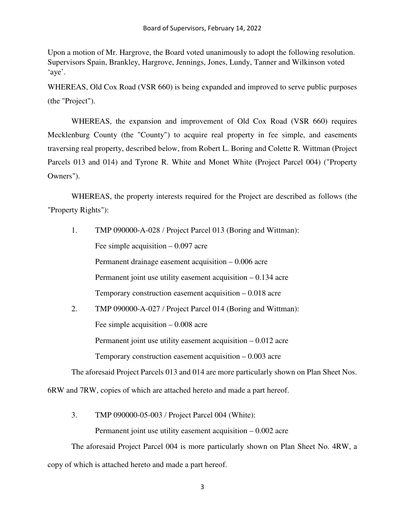Upon a motion of Mr. Hargrove, the Board voted unanimously to adopt the following resolution. Supervisors Spain, Brankley, Hargrove, Jennings, Jones, Lundy, Tanner and Wilkinson voted 'aye'.

WHEREAS, Old Cox Road (VSR 660) is being expanded and improved to serve public purposes (the "Project").

 WHEREAS, the expansion and improvement of Old Cox Road (VSR 660) requires Mecklenburg County (the "County") to acquire real property in fee simple, and easements traversing real property, described below, from Robert L. Boring and Colette R. Wittman (Project Parcels 013 and 014) and Tyrone R. White and Monet White (Project Parcel 004) ("Property Owners").

 WHEREAS, the property interests required for the Project are described as follows (the "Property Rights"):

| 1. | TMP 090000-A-028 / Project Parcel 013 (Boring and Wittman):    |
|----|----------------------------------------------------------------|
|    | Fee simple acquisition $-0.097$ acre                           |
|    | Permanent drainage easement acquisition $-0.006$ acre          |
|    | Permanent joint use utility easement acquisition $-0.134$ acre |
|    | Temporary construction easement acquisition $-0.018$ acre      |
| 2. | TMP 090000-A-027 / Project Parcel 014 (Boring and Wittman):    |
|    | Fee simple acquisition $-0.008$ acre                           |
|    | Permanent joint use utility easement acquisition $-0.012$ acre |
|    | Temporary construction easement acquisition $-0.003$ acre      |

The aforesaid Project Parcels 013 and 014 are more particularly shown on Plan Sheet Nos.

6RW and 7RW, copies of which are attached hereto and made a part hereof.

3. TMP 090000-05-003 / Project Parcel 004 (White):

Permanent joint use utility easement acquisition – 0.002 acre

 The aforesaid Project Parcel 004 is more particularly shown on Plan Sheet No. 4RW, a copy of which is attached hereto and made a part hereof.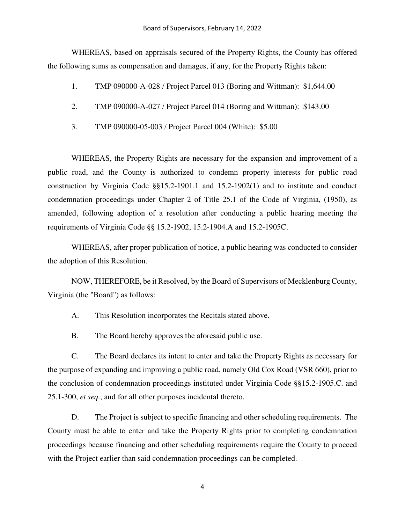WHEREAS, based on appraisals secured of the Property Rights, the County has offered the following sums as compensation and damages, if any, for the Property Rights taken:

- 1. TMP 090000-A-028 / Project Parcel 013 (Boring and Wittman): \$1,644.00
- 2. TMP 090000-A-027 / Project Parcel 014 (Boring and Wittman): \$143.00
- 3. TMP 090000-05-003 / Project Parcel 004 (White): \$5.00

WHEREAS, the Property Rights are necessary for the expansion and improvement of a public road, and the County is authorized to condemn property interests for public road construction by Virginia Code §§15.2-1901.1 and 15.2-1902(1) and to institute and conduct condemnation proceedings under Chapter 2 of Title 25.1 of the Code of Virginia, (1950), as amended, following adoption of a resolution after conducting a public hearing meeting the requirements of Virginia Code §§ 15.2-1902, 15.2-1904.A and 15.2-1905C.

WHEREAS, after proper publication of notice, a public hearing was conducted to consider the adoption of this Resolution.

NOW, THEREFORE, be it Resolved, by the Board of Supervisors of Mecklenburg County, Virginia (the "Board") as follows:

A. This Resolution incorporates the Recitals stated above.

B. The Board hereby approves the aforesaid public use.

C. The Board declares its intent to enter and take the Property Rights as necessary for the purpose of expanding and improving a public road, namely Old Cox Road (VSR 660), prior to the conclusion of condemnation proceedings instituted under Virginia Code §§15.2-1905.C. and 25.1-300, *et seq.*, and for all other purposes incidental thereto.

D. The Project is subject to specific financing and other scheduling requirements. The County must be able to enter and take the Property Rights prior to completing condemnation proceedings because financing and other scheduling requirements require the County to proceed with the Project earlier than said condemnation proceedings can be completed.

4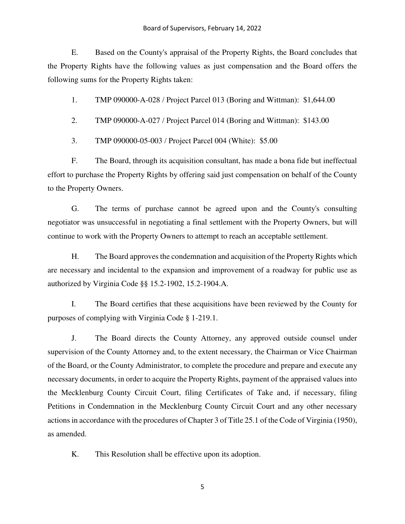E. Based on the County's appraisal of the Property Rights, the Board concludes that the Property Rights have the following values as just compensation and the Board offers the following sums for the Property Rights taken:

1. TMP 090000-A-028 / Project Parcel 013 (Boring and Wittman): \$1,644.00

2. TMP 090000-A-027 / Project Parcel 014 (Boring and Wittman): \$143.00

3. TMP 090000-05-003 / Project Parcel 004 (White): \$5.00

F. The Board, through its acquisition consultant, has made a bona fide but ineffectual effort to purchase the Property Rights by offering said just compensation on behalf of the County to the Property Owners.

G. The terms of purchase cannot be agreed upon and the County's consulting negotiator was unsuccessful in negotiating a final settlement with the Property Owners, but will continue to work with the Property Owners to attempt to reach an acceptable settlement.

H. The Board approves the condemnation and acquisition of the Property Rights which are necessary and incidental to the expansion and improvement of a roadway for public use as authorized by Virginia Code §§ 15.2-1902, 15.2-1904.A.

I. The Board certifies that these acquisitions have been reviewed by the County for purposes of complying with Virginia Code § 1-219.1.

J. The Board directs the County Attorney, any approved outside counsel under supervision of the County Attorney and, to the extent necessary, the Chairman or Vice Chairman of the Board, or the County Administrator, to complete the procedure and prepare and execute any necessary documents, in order to acquire the Property Rights, payment of the appraised values into the Mecklenburg County Circuit Court, filing Certificates of Take and, if necessary, filing Petitions in Condemnation in the Mecklenburg County Circuit Court and any other necessary actions in accordance with the procedures of Chapter 3 of Title 25.1 of the Code of Virginia (1950), as amended.

K. This Resolution shall be effective upon its adoption.

5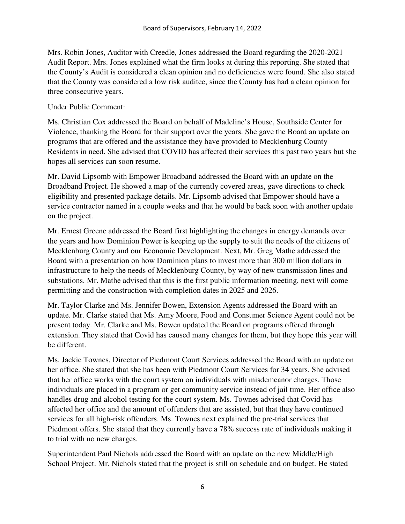Mrs. Robin Jones, Auditor with Creedle, Jones addressed the Board regarding the 2020-2021 Audit Report. Mrs. Jones explained what the firm looks at during this reporting. She stated that the County's Audit is considered a clean opinion and no deficiencies were found. She also stated that the County was considered a low risk auditee, since the County has had a clean opinion for three consecutive years.

## Under Public Comment:

Ms. Christian Cox addressed the Board on behalf of Madeline's House, Southside Center for Violence, thanking the Board for their support over the years. She gave the Board an update on programs that are offered and the assistance they have provided to Mecklenburg County Residents in need. She advised that COVID has affected their services this past two years but she hopes all services can soon resume.

Mr. David Lipsomb with Empower Broadband addressed the Board with an update on the Broadband Project. He showed a map of the currently covered areas, gave directions to check eligibility and presented package details. Mr. Lipsomb advised that Empower should have a service contractor named in a couple weeks and that he would be back soon with another update on the project.

Mr. Ernest Greene addressed the Board first highlighting the changes in energy demands over the years and how Dominion Power is keeping up the supply to suit the needs of the citizens of Mecklenburg County and our Economic Development. Next, Mr. Greg Mathe addressed the Board with a presentation on how Dominion plans to invest more than 300 million dollars in infrastructure to help the needs of Mecklenburg County, by way of new transmission lines and substations. Mr. Mathe advised that this is the first public information meeting, next will come permitting and the construction with completion dates in 2025 and 2026.

Mr. Taylor Clarke and Ms. Jennifer Bowen, Extension Agents addressed the Board with an update. Mr. Clarke stated that Ms. Amy Moore, Food and Consumer Science Agent could not be present today. Mr. Clarke and Ms. Bowen updated the Board on programs offered through extension. They stated that Covid has caused many changes for them, but they hope this year will be different.

Ms. Jackie Townes, Director of Piedmont Court Services addressed the Board with an update on her office. She stated that she has been with Piedmont Court Services for 34 years. She advised that her office works with the court system on individuals with misdemeanor charges. Those individuals are placed in a program or get community service instead of jail time. Her office also handles drug and alcohol testing for the court system. Ms. Townes advised that Covid has affected her office and the amount of offenders that are assisted, but that they have continued services for all high-risk offenders. Ms. Townes next explained the pre-trial services that Piedmont offers. She stated that they currently have a 78% success rate of individuals making it to trial with no new charges.

Superintendent Paul Nichols addressed the Board with an update on the new Middle/High School Project. Mr. Nichols stated that the project is still on schedule and on budget. He stated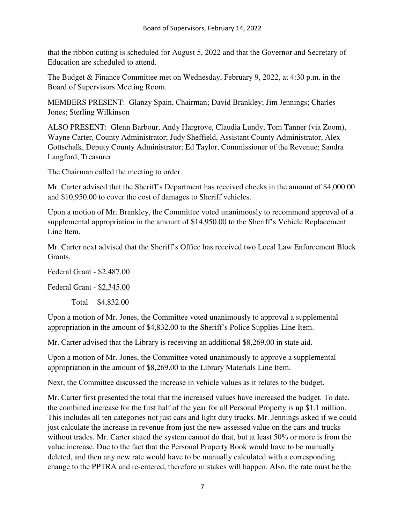that the ribbon cutting is scheduled for August 5, 2022 and that the Governor and Secretary of Education are scheduled to attend.

The Budget & Finance Committee met on Wednesday, February 9, 2022, at 4:30 p.m. in the Board of Supervisors Meeting Room.

MEMBERS PRESENT: Glanzy Spain, Chairman; David Brankley; Jim Jennings; Charles Jones; Sterling Wilkinson

ALSO PRESENT: Glenn Barbour, Andy Hargrove, Claudia Lundy, Tom Tanner (via Zoom), Wayne Carter, County Administrator; Judy Sheffield, Assistant County Administrator, Alex Gottschalk, Deputy County Administrator; Ed Taylor, Commissioner of the Revenue; Sandra Langford, Treasurer

The Chairman called the meeting to order.

Mr. Carter advised that the Sheriff's Department has received checks in the amount of \$4,000.00 and \$10,950.00 to cover the cost of damages to Sheriff vehicles.

Upon a motion of Mr. Brankley, the Committee voted unanimously to recommend approval of a supplemental appropriation in the amount of \$14,950.00 to the Sheriff's Vehicle Replacement Line Item.

Mr. Carter next advised that the Sheriff's Office has received two Local Law Enforcement Block Grants.

Federal Grant - \$2,487.00

Federal Grant - \$2,345.00

Total \$4,832.00

Upon a motion of Mr. Jones, the Committee voted unanimously to approval a supplemental appropriation in the amount of \$4,832.00 to the Sheriff's Police Supplies Line Item.

Mr. Carter advised that the Library is receiving an additional \$8,269.00 in state aid.

Upon a motion of Mr. Jones, the Committee voted unanimously to approve a supplemental appropriation in the amount of \$8,269.00 to the Library Materials Line Item.

Next, the Committee discussed the increase in vehicle values as it relates to the budget.

Mr. Carter first presented the total that the increased values have increased the budget. To date, the combined increase for the first half of the year for all Personal Property is up \$1.1 million. This includes all ten categories not just cars and light duty trucks. Mr. Jennings asked if we could just calculate the increase in revenue from just the new assessed value on the cars and trucks without trades. Mr. Carter stated the system cannot do that, but at least 50% or more is from the value increase. Due to the fact that the Personal Property Book would have to be manually deleted, and then any new rate would have to be manually calculated with a corresponding change to the PPTRA and re-entered, therefore mistakes will happen. Also, the rate must be the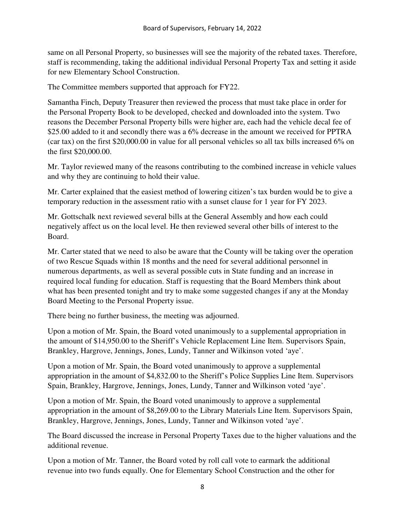same on all Personal Property, so businesses will see the majority of the rebated taxes. Therefore, staff is recommending, taking the additional individual Personal Property Tax and setting it aside for new Elementary School Construction.

The Committee members supported that approach for FY22.

Samantha Finch, Deputy Treasurer then reviewed the process that must take place in order for the Personal Property Book to be developed, checked and downloaded into the system. Two reasons the December Personal Property bills were higher are, each had the vehicle decal fee of \$25.00 added to it and secondly there was a 6% decrease in the amount we received for PPTRA (car tax) on the first \$20,000.00 in value for all personal vehicles so all tax bills increased 6% on the first \$20,000.00.

Mr. Taylor reviewed many of the reasons contributing to the combined increase in vehicle values and why they are continuing to hold their value.

Mr. Carter explained that the easiest method of lowering citizen's tax burden would be to give a temporary reduction in the assessment ratio with a sunset clause for 1 year for FY 2023.

Mr. Gottschalk next reviewed several bills at the General Assembly and how each could negatively affect us on the local level. He then reviewed several other bills of interest to the Board.

Mr. Carter stated that we need to also be aware that the County will be taking over the operation of two Rescue Squads within 18 months and the need for several additional personnel in numerous departments, as well as several possible cuts in State funding and an increase in required local funding for education. Staff is requesting that the Board Members think about what has been presented tonight and try to make some suggested changes if any at the Monday Board Meeting to the Personal Property issue.

There being no further business, the meeting was adjourned.

Upon a motion of Mr. Spain, the Board voted unanimously to a supplemental appropriation in the amount of \$14,950.00 to the Sheriff's Vehicle Replacement Line Item. Supervisors Spain, Brankley, Hargrove, Jennings, Jones, Lundy, Tanner and Wilkinson voted 'aye'.

Upon a motion of Mr. Spain, the Board voted unanimously to approve a supplemental appropriation in the amount of \$4,832.00 to the Sheriff's Police Supplies Line Item. Supervisors Spain, Brankley, Hargrove, Jennings, Jones, Lundy, Tanner and Wilkinson voted 'aye'.

Upon a motion of Mr. Spain, the Board voted unanimously to approve a supplemental appropriation in the amount of \$8,269.00 to the Library Materials Line Item. Supervisors Spain, Brankley, Hargrove, Jennings, Jones, Lundy, Tanner and Wilkinson voted 'aye'.

The Board discussed the increase in Personal Property Taxes due to the higher valuations and the additional revenue.

Upon a motion of Mr. Tanner, the Board voted by roll call vote to earmark the additional revenue into two funds equally. One for Elementary School Construction and the other for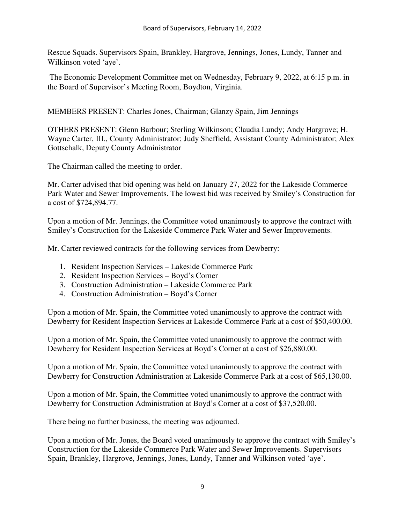Rescue Squads. Supervisors Spain, Brankley, Hargrove, Jennings, Jones, Lundy, Tanner and Wilkinson voted 'aye'.

 The Economic Development Committee met on Wednesday, February 9, 2022, at 6:15 p.m. in the Board of Supervisor's Meeting Room, Boydton, Virginia.

MEMBERS PRESENT: Charles Jones, Chairman; Glanzy Spain, Jim Jennings

OTHERS PRESENT: Glenn Barbour; Sterling Wilkinson; Claudia Lundy; Andy Hargrove; H. Wayne Carter, III., County Administrator; Judy Sheffield, Assistant County Administrator; Alex Gottschalk, Deputy County Administrator

The Chairman called the meeting to order.

Mr. Carter advised that bid opening was held on January 27, 2022 for the Lakeside Commerce Park Water and Sewer Improvements. The lowest bid was received by Smiley's Construction for a cost of \$724,894.77.

Upon a motion of Mr. Jennings, the Committee voted unanimously to approve the contract with Smiley's Construction for the Lakeside Commerce Park Water and Sewer Improvements.

Mr. Carter reviewed contracts for the following services from Dewberry:

- 1. Resident Inspection Services Lakeside Commerce Park
- 2. Resident Inspection Services Boyd's Corner
- 3. Construction Administration Lakeside Commerce Park
- 4. Construction Administration Boyd's Corner

Upon a motion of Mr. Spain, the Committee voted unanimously to approve the contract with Dewberry for Resident Inspection Services at Lakeside Commerce Park at a cost of \$50,400.00.

Upon a motion of Mr. Spain, the Committee voted unanimously to approve the contract with Dewberry for Resident Inspection Services at Boyd's Corner at a cost of \$26,880.00.

Upon a motion of Mr. Spain, the Committee voted unanimously to approve the contract with Dewberry for Construction Administration at Lakeside Commerce Park at a cost of \$65,130.00.

Upon a motion of Mr. Spain, the Committee voted unanimously to approve the contract with Dewberry for Construction Administration at Boyd's Corner at a cost of \$37,520.00.

There being no further business, the meeting was adjourned.

Upon a motion of Mr. Jones, the Board voted unanimously to approve the contract with Smiley's Construction for the Lakeside Commerce Park Water and Sewer Improvements. Supervisors Spain, Brankley, Hargrove, Jennings, Jones, Lundy, Tanner and Wilkinson voted 'aye'.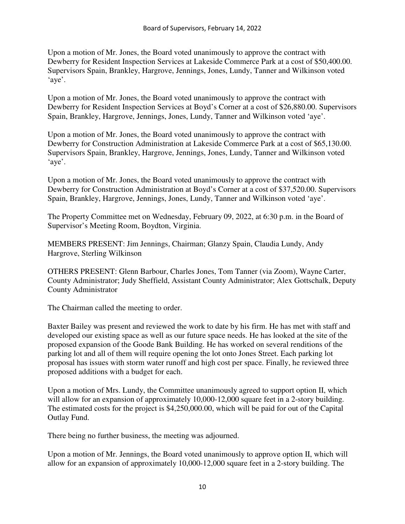Upon a motion of Mr. Jones, the Board voted unanimously to approve the contract with Dewberry for Resident Inspection Services at Lakeside Commerce Park at a cost of \$50,400.00. Supervisors Spain, Brankley, Hargrove, Jennings, Jones, Lundy, Tanner and Wilkinson voted 'aye'.

Upon a motion of Mr. Jones, the Board voted unanimously to approve the contract with Dewberry for Resident Inspection Services at Boyd's Corner at a cost of \$26,880.00. Supervisors Spain, Brankley, Hargrove, Jennings, Jones, Lundy, Tanner and Wilkinson voted 'aye'.

Upon a motion of Mr. Jones, the Board voted unanimously to approve the contract with Dewberry for Construction Administration at Lakeside Commerce Park at a cost of \$65,130.00. Supervisors Spain, Brankley, Hargrove, Jennings, Jones, Lundy, Tanner and Wilkinson voted 'aye'.

Upon a motion of Mr. Jones, the Board voted unanimously to approve the contract with Dewberry for Construction Administration at Boyd's Corner at a cost of \$37,520.00. Supervisors Spain, Brankley, Hargrove, Jennings, Jones, Lundy, Tanner and Wilkinson voted 'aye'.

The Property Committee met on Wednesday, February 09, 2022, at 6:30 p.m. in the Board of Supervisor's Meeting Room, Boydton, Virginia.

MEMBERS PRESENT: Jim Jennings, Chairman; Glanzy Spain, Claudia Lundy, Andy Hargrove, Sterling Wilkinson

OTHERS PRESENT: Glenn Barbour, Charles Jones, Tom Tanner (via Zoom), Wayne Carter, County Administrator; Judy Sheffield, Assistant County Administrator; Alex Gottschalk, Deputy County Administrator

The Chairman called the meeting to order.

Baxter Bailey was present and reviewed the work to date by his firm. He has met with staff and developed our existing space as well as our future space needs. He has looked at the site of the proposed expansion of the Goode Bank Building. He has worked on several renditions of the parking lot and all of them will require opening the lot onto Jones Street. Each parking lot proposal has issues with storm water runoff and high cost per space. Finally, he reviewed three proposed additions with a budget for each.

Upon a motion of Mrs. Lundy, the Committee unanimously agreed to support option II, which will allow for an expansion of approximately 10,000-12,000 square feet in a 2-story building. The estimated costs for the project is \$4,250,000.00, which will be paid for out of the Capital Outlay Fund.

There being no further business, the meeting was adjourned.

Upon a motion of Mr. Jennings, the Board voted unanimously to approve option II, which will allow for an expansion of approximately 10,000-12,000 square feet in a 2-story building. The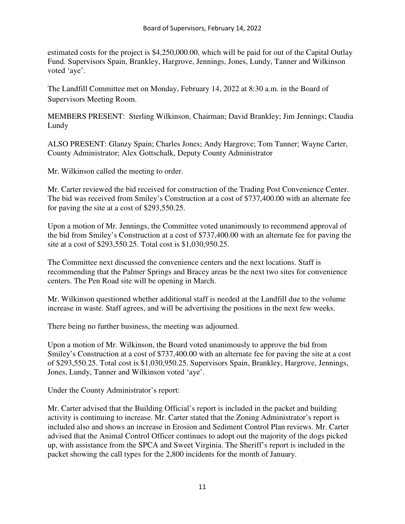estimated costs for the project is \$4,250,000.00, which will be paid for out of the Capital Outlay Fund. Supervisors Spain, Brankley, Hargrove, Jennings, Jones, Lundy, Tanner and Wilkinson voted 'aye'.

The Landfill Committee met on Monday, February 14, 2022 at 8:30 a.m. in the Board of Supervisors Meeting Room.

MEMBERS PRESENT: Sterling Wilkinson, Chairman; David Brankley; Jim Jennings; Claudia Lundy

ALSO PRESENT: Glanzy Spain; Charles Jones; Andy Hargrove; Tom Tanner; Wayne Carter, County Administrator; Alex Gottschalk, Deputy County Administrator

Mr. Wilkinson called the meeting to order.

Mr. Carter reviewed the bid received for construction of the Trading Post Convenience Center. The bid was received from Smiley's Construction at a cost of \$737,400.00 with an alternate fee for paving the site at a cost of \$293,550.25.

Upon a motion of Mr. Jennings, the Committee voted unanimously to recommend approval of the bid from Smiley's Construction at a cost of \$737,400.00 with an alternate fee for paving the site at a cost of \$293,550.25. Total cost is \$1,030,950.25.

The Committee next discussed the convenience centers and the next locations. Staff is recommending that the Palmer Springs and Bracey areas be the next two sites for convenience centers. The Pen Road site will be opening in March.

Mr. Wilkinson questioned whether additional staff is needed at the Landfill due to the volume increase in waste. Staff agrees, and will be advertising the positions in the next few weeks.

There being no further business, the meeting was adjourned.

Upon a motion of Mr. Wilkinson, the Board voted unanimously to approve the bid from Smiley's Construction at a cost of \$737,400.00 with an alternate fee for paving the site at a cost of \$293,550.25. Total cost is \$1,030,950.25. Supervisors Spain, Brankley, Hargrove, Jennings, Jones, Lundy, Tanner and Wilkinson voted 'aye'.

Under the County Administrator's report:

Mr. Carter advised that the Building Official's report is included in the packet and building activity is continuing to increase. Mr. Carter stated that the Zoning Administrator's report is included also and shows an increase in Erosion and Sediment Control Plan reviews. Mr. Carter advised that the Animal Control Officer continues to adopt out the majority of the dogs picked up, with assistance from the SPCA and Sweet Virginia. The Sheriff's report is included in the packet showing the call types for the 2,800 incidents for the month of January.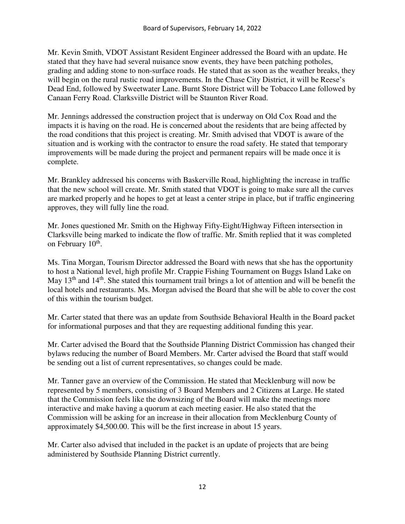Mr. Kevin Smith, VDOT Assistant Resident Engineer addressed the Board with an update. He stated that they have had several nuisance snow events, they have been patching potholes, grading and adding stone to non-surface roads. He stated that as soon as the weather breaks, they will begin on the rural rustic road improvements. In the Chase City District, it will be Reese's Dead End, followed by Sweetwater Lane. Burnt Store District will be Tobacco Lane followed by Canaan Ferry Road. Clarksville District will be Staunton River Road.

Mr. Jennings addressed the construction project that is underway on Old Cox Road and the impacts it is having on the road. He is concerned about the residents that are being affected by the road conditions that this project is creating. Mr. Smith advised that VDOT is aware of the situation and is working with the contractor to ensure the road safety. He stated that temporary improvements will be made during the project and permanent repairs will be made once it is complete.

Mr. Brankley addressed his concerns with Baskerville Road, highlighting the increase in traffic that the new school will create. Mr. Smith stated that VDOT is going to make sure all the curves are marked properly and he hopes to get at least a center stripe in place, but if traffic engineering approves, they will fully line the road.

Mr. Jones questioned Mr. Smith on the Highway Fifty-Eight/Highway Fifteen intersection in Clarksville being marked to indicate the flow of traffic. Mr. Smith replied that it was completed on February 10<sup>th</sup>.

Ms. Tina Morgan, Tourism Director addressed the Board with news that she has the opportunity to host a National level, high profile Mr. Crappie Fishing Tournament on Buggs Island Lake on May  $13<sup>th</sup>$  and  $14<sup>th</sup>$ . She stated this tournament trail brings a lot of attention and will be benefit the local hotels and restaurants. Ms. Morgan advised the Board that she will be able to cover the cost of this within the tourism budget.

Mr. Carter stated that there was an update from Southside Behavioral Health in the Board packet for informational purposes and that they are requesting additional funding this year.

Mr. Carter advised the Board that the Southside Planning District Commission has changed their bylaws reducing the number of Board Members. Mr. Carter advised the Board that staff would be sending out a list of current representatives, so changes could be made.

Mr. Tanner gave an overview of the Commission. He stated that Mecklenburg will now be represented by 5 members, consisting of 3 Board Members and 2 Citizens at Large. He stated that the Commission feels like the downsizing of the Board will make the meetings more interactive and make having a quorum at each meeting easier. He also stated that the Commission will be asking for an increase in their allocation from Mecklenburg County of approximately \$4,500.00. This will be the first increase in about 15 years.

Mr. Carter also advised that included in the packet is an update of projects that are being administered by Southside Planning District currently.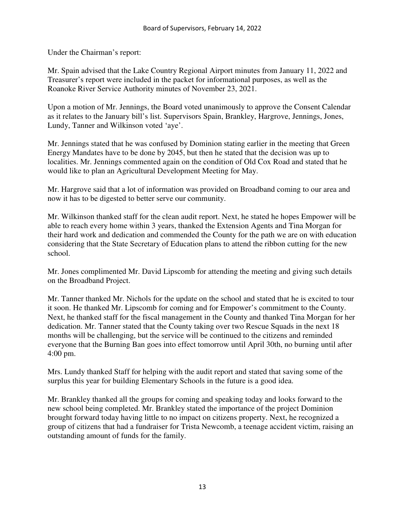Under the Chairman's report:

Mr. Spain advised that the Lake Country Regional Airport minutes from January 11, 2022 and Treasurer's report were included in the packet for informational purposes, as well as the Roanoke River Service Authority minutes of November 23, 2021.

Upon a motion of Mr. Jennings, the Board voted unanimously to approve the Consent Calendar as it relates to the January bill's list. Supervisors Spain, Brankley, Hargrove, Jennings, Jones, Lundy, Tanner and Wilkinson voted 'aye'.

Mr. Jennings stated that he was confused by Dominion stating earlier in the meeting that Green Energy Mandates have to be done by 2045, but then he stated that the decision was up to localities. Mr. Jennings commented again on the condition of Old Cox Road and stated that he would like to plan an Agricultural Development Meeting for May.

Mr. Hargrove said that a lot of information was provided on Broadband coming to our area and now it has to be digested to better serve our community.

Mr. Wilkinson thanked staff for the clean audit report. Next, he stated he hopes Empower will be able to reach every home within 3 years, thanked the Extension Agents and Tina Morgan for their hard work and dedication and commended the County for the path we are on with education considering that the State Secretary of Education plans to attend the ribbon cutting for the new school.

Mr. Jones complimented Mr. David Lipscomb for attending the meeting and giving such details on the Broadband Project.

Mr. Tanner thanked Mr. Nichols for the update on the school and stated that he is excited to tour it soon. He thanked Mr. Lipscomb for coming and for Empower's commitment to the County. Next, he thanked staff for the fiscal management in the County and thanked Tina Morgan for her dedication. Mr. Tanner stated that the County taking over two Rescue Squads in the next 18 months will be challenging, but the service will be continued to the citizens and reminded everyone that the Burning Ban goes into effect tomorrow until April 30th, no burning until after 4:00 pm.

Mrs. Lundy thanked Staff for helping with the audit report and stated that saving some of the surplus this year for building Elementary Schools in the future is a good idea.

Mr. Brankley thanked all the groups for coming and speaking today and looks forward to the new school being completed. Mr. Brankley stated the importance of the project Dominion brought forward today having little to no impact on citizens property. Next, he recognized a group of citizens that had a fundraiser for Trista Newcomb, a teenage accident victim, raising an outstanding amount of funds for the family.